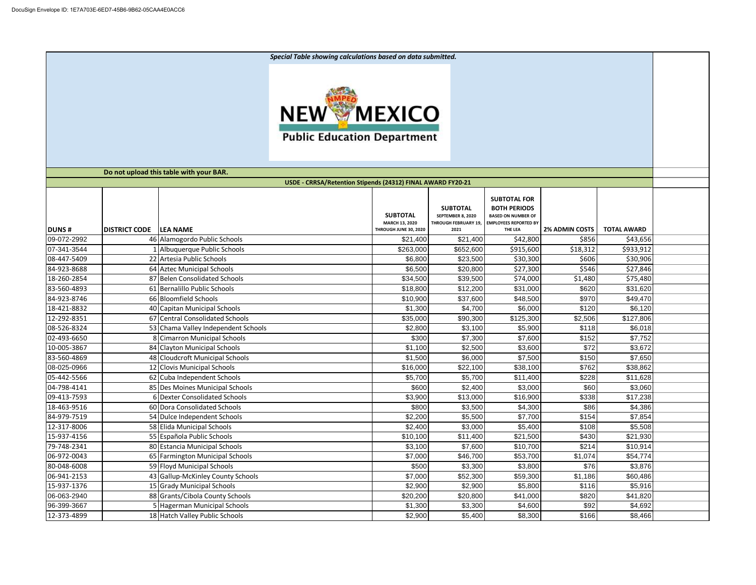*Special Table showing calculations based on data submitted.* **NEW MEXICO Public Education Department Do not upload this table with your BAR. USDE - CRRSA/Retention Stipends (24312) FINAL AWARD FY20-21 SUBTOTAL FOR SUBTOTAL BOTH PERIODS SUBTOTAL SEPTEMBER 8, 2020 BASED ON NUMBER OF MARCH 13, 2020 THROUGH FEBRUARY 19, EMPLOYEES REPORTED BY THROUGH JUNE 30, 2020 THE LEA 2% ADMIN COSTS TOTAL AWARD DUNS # DISTRICT CODE LEA NAME 2021** 09-072-2992 | 46 Alamogordo Public Schools | \$21,400 \$21,400 \$42,800 \$856 \$43,656 07-341-3544 | 1 Albuquerque Public Schools | \$263.000 \$652.600 \$915.600 \$18.312 \$933.912 08-447-5409 | 22|Artesia Public Schools \$6,800| \$23,500| \$30,300| \$606| \$30,906 84-923-8688 64 Aztec Municipal Schools \$6,500 \$20,800 \$27,300 \$546 \$27,846 18-260-2854 | 87 Belen Consolidated Schools \$34,500 \$39,500 \$74,000 \$1,480 \$75,480 83-560-4893 61 Bernalillo Public Schools \$18,800 \$31,000 \$620 \$31,620 84-923-8746 | 66|Bloomfield Schools \$10,900| \$48,500| \$49,970 \$49,470 18-421-8832 | 40 Capitan Municipal Schools \$1,300 \$4,700 \$6,000 \$6,000 \$120 \$6,120 12-292-8351 67 Central Consolidated Schools 6.000 \$125,000 \$125,300 \$125,300 \$2,506 \$127,806 08-526-8324 | 53 Chama Valley Independent Schools | \$2,800 \$3,100 \$5,900 \$5,900 \$118 \$6,018 02-493-6650 | 8|Cimarron Municipal Schools | \$300 \$7,300 \$7,300 \$7,600 \$152 \$152 \$7,752 10-005-3867 | 84 Clayton Municipal Schools \$1,100 \$2,500 \$3,600 \$3,672 \$3,672 \$3,672 83-560-4869 48 Cloudcroft Municipal Schools \$1,500 \$6,000 \$7,500 \$150 \$7,650 08-025-0966 | 12 Clovis Municipal Schools \$16,000 | \$38,100 | \$38,962 \$38,862 05-442-5566 62 Cuba Independent Schools 62 Cuba Independent Schools 55,700 \$5,700 \$11,400 \$11,400 \$228 \$11,628 04-798-4141 | 85 Des Moines Municipal Schools | \$600 \$2,400 \$3,000 \$3,000 \$60 09-413-7593 6 Dexter Consolidated Schools \$3,900 \$13,000 \$16,900 \$338 \$17,238 18-463-9516 60 Dora Consolidated Schools \$800 \$3,500 \$4,300 \$86 \$4,386 84-979-7519 54 Dulce Independent Schools \$2,200 \$5,500 \$7,700 \$154 \$7,854 12-317-8006 58 Elida Municipal Schools \$2,400 \$3,000 \$5,400 \$108 \$5,508 15-937-4156 55 Española Public Schools \$10,100 \$11,400 \$21,500 \$430 \$21,930 79-748-2341 | 80 Estancia Municipal Schools | \$3,100 \$7,600 \$10,700 \$214 \$10,914 \$10,914 06-972-0043 | 65 Farmington Municipal Schools | \$7,000 \$46,700 \$53,700 \$53,700 \$1,074 \$54,774 80-048-6008 59 Floyd Municipal Schools \$500 \$3,300 \$3,800 \$76 \$3,876 06-941-2153 | 43 Gallup-McKinley County Schools | \$7,000 \$52,300 \$59,300 \$1,186 \$60,486 15-937-1376 | 15|Grady Municipal Schools \$2,900| \$2,900| \$5,800| \$116 \$5,916 06-063-2940 | 88|Grants/Cibola County Schools | \$20,200 \$20,800 \$41,000 \$41,000 \$820 \$41,820 96-399-3667 | 5|Hagerman Municipal Schools | \$1,300 \$3,300 \$4,600 \$4,600 \$92 \$4,692 12-373-4899 | 18|Hatch Valley Public Schools \$2,900| \$8,400| \$8,300| \$166| \$8,466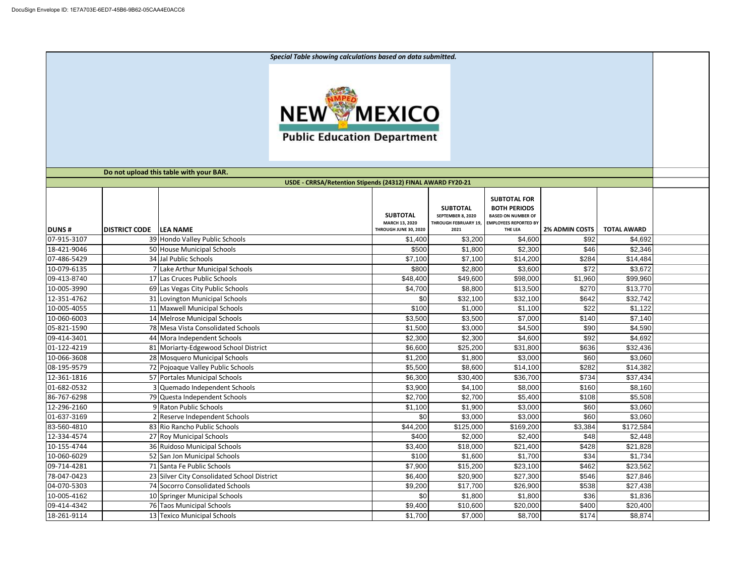*Special Table showing calculations based on data submitted.* **NEW MEXICO Public Education Department Do not upload this table with your BAR. USDE - CRRSA/Retention Stipends (24312) FINAL AWARD FY20-21 SUBTOTAL FOR SUBTOTAL BOTH PERIODS SUBTOTAL SEPTEMBER 8, 2020 BASED ON NUMBER OF MARCH 13, 2020 THROUGH FEBRUARY 19, EMPLOYEES REPORTED BY THE LEA 2% ADMIN COSTS TOTAL AWARD DUNS # DISTRICT CODE LEA NAME THROUGH JUNE 30, 2020 2021** 07-915-3107 | 39 Hondo Valley Public Schools | \$1,400 \$3,200 \$4,600 \$92 \$4,692 \$4,692 18-421-9046 50 House Municipal Schools \$500 \$1,800 \$2,300 \$46 \$2,346 07-486-5429 34 Jal Public Schools \$7,100 \$7,100 \$14,200 \$284 \$14,484 10-079-6135 7 Lake Arthur Municipal Schools \$800 \$2,800 \$3,600 \$72 \$3,672 09-413-8740 17 Las Cruces Public Schools \$48,400 \$99,600 \$98,000 \$99,960 \$99,960 10-005-3990 | 69|Las Vegas City Public Schools | \$4,700 \$8,800 \$13,500 \$13,500 \$270 \$13,770 12-351-4762 | 31 Lovington Municipal Schools \$1 | 50 \$32,100 \$32,100 \$32,100 \$642 \$32,742 10-005-4055 | 11 Maxwell Municipal Schools \$100 \$1,100 \$1,100 \$22 \$1,122 10-060-6003 14 Melrose Municipal Schools 14 Network 14 S3,500 \$3,500 \$7,000 \$7,000 \$140 \$7,140 05-821-1590 | 78|Mesa Vista Consolidated Schools \$1,500 \$3,000 \$4,500 \$4,500 \$90 \$4,590 09-414-3401 44 Mora Independent Schools \$2,300 \$2,300 \$4,600 \$92 \$4,692 01-122-4219 | 81 Moriarty-Edgewood School District | \$6,600 \$25,200 \$31,800 \$31,800 \$636 \$32,436 10-066-3608 | 28 Mosquero Municipal Schools | \$1,200 \$1,800 \$3,000 \$3,000 \$60 \$3,060 08-195-9579 | 72|Pojoaque Valley Public Schools \$5,500 \$8,600 \$14,100 \$14,100 \$282 \$14,382 12-361-1816 | 57 Portales Municipal Schools | \$6,300 \$30,400 \$36,700 \$36,700 \$734 \$37,434 01-682-0532 3 Quemado Independent Schools \$3,900 \$4,100 \$8,000 \$8,000 \$160 \$8,160 86-767-6298 1 79 Questa Independent Schools 5 108 \$2,700 \$2,700 \$5,400 \$5,400 \$108 \$5,508 12-296-2160 | 9|Raton Public Schools \$1,100| \$3,000| \$60 \$3,060 \$3,060 01-637-3169 | 2 Reserve Independent Schools | \$0 \$3,000 \$3,000 \$3,000 \$60 \$60 \$3,000 83-560-4810 | 83 Rio Rancho Public Schools \$44,200 | \$125,000 | \$169,200 | \$3,384 | \$172,584 12-334-4574 27 Roy Municipal Schools \$400 \$2,000 \$2,400 \$48 \$2,448 10-155-4744 36 Ruidoso Municipal Schools \$3,400 \$21,400 \$21,400 \$428 \$21,828 10-060-6029 52 San Jon Municipal Schools \$100 \$1,600 \$1,700 \$34 \$1,734 09-714-4281 71 Santa Fe Public Schools \$7,900 \$15,200 \$23,100 \$462 \$23,562 78-047-0423 23 Silver City Consolidated School District \$6,400 \$20,900 \$27,300 \$546 \$27,846 04-070-5303 | 74 Socorro Consolidated Schools \$9,200 \$17,700 \$26,900 \$27,438 \$27,438 10-005-4162 10 Springer Municipal Schools \$0 \$1,800 \$1,800 \$36 \$1,836 09-414-4342 | 76|Taos Municipal Schools \$9,400| \$20,000| \$400| \$20,400 18-261-9114 | 13|Texico Municipal Schools \$1,700| \$8,7000| \$8,700| \$174| \$8,874